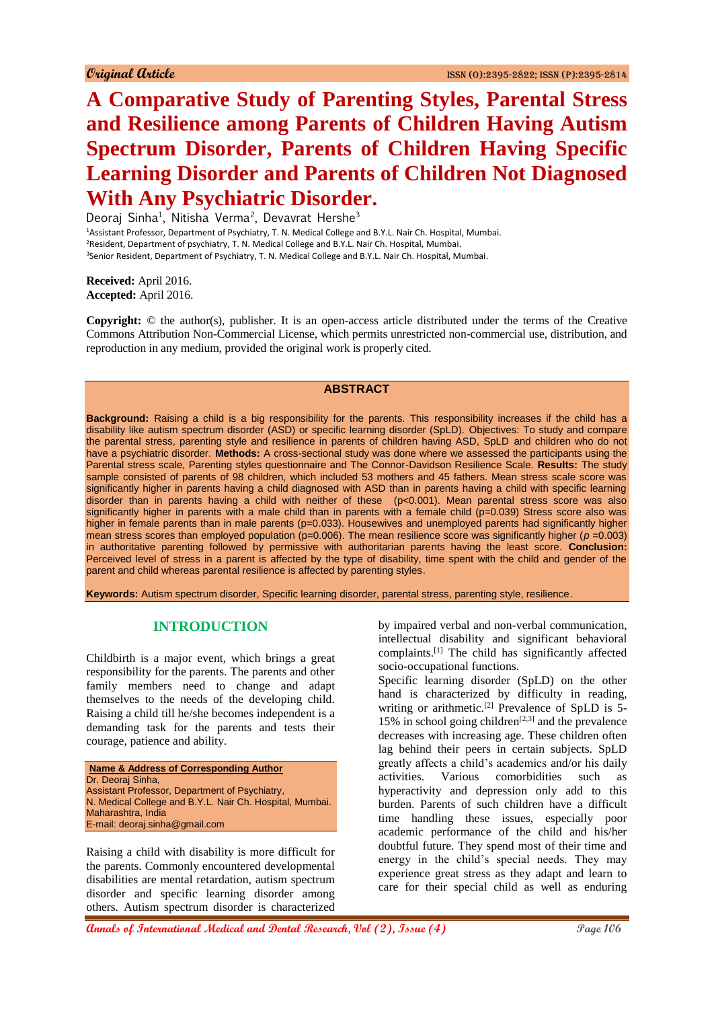# **A Comparative Study of Parenting Styles, Parental Stress and Resilience among Parents of Children Having Autism Spectrum Disorder, Parents of Children Having Specific Learning Disorder and Parents of Children Not Diagnosed With Any Psychiatric Disorder.**

Deoraj Sinha<sup>1</sup>, Nitisha Verma<sup>2</sup>, Devavrat Hershe<sup>3</sup> Assistant Professor, Department of Psychiatry, T. N. Medical College and B.Y.L. Nair Ch. Hospital, Mumbai. Resident, Department of psychiatry, T. N. Medical College and B.Y.L. Nair Ch. Hospital, Mumbai. Senior Resident, Department of Psychiatry, T. N. Medical College and B.Y.L. Nair Ch. Hospital, Mumbai.

**Received:** April 2016. **Accepted:** April 2016.

**Copyright:** © the author(s), publisher. It is an open-access article distributed under the terms of the Creative Commons Attribution Non-Commercial License, which permits unrestricted non-commercial use, distribution, and reproduction in any medium, provided the original work is properly cited.

## **ABSTRACT**

**Background:** Raising a child is a big responsibility for the parents. This responsibility increases if the child has a disability like autism spectrum disorder (ASD) or specific learning disorder (SpLD). Objectives: To study and compare the parental stress, parenting style and resilience in parents of children having ASD, SpLD and children who do not have a psychiatric disorder. **Methods:** A cross-sectional study was done where we assessed the participants using the Parental stress scale, Parenting styles questionnaire and The Connor-Davidson Resilience Scale. **Results:** The study sample consisted of parents of 98 children, which included 53 mothers and 45 fathers. Mean stress scale score was significantly higher in parents having a child diagnosed with ASD than in parents having a child with specific learning disorder than in parents having a child with neither of these (p<0.001). Mean parental stress score was also significantly higher in parents with a male child than in parents with a female child (p=0.039) Stress score also was higher in female parents than in male parents (p=0.033). Housewives and unemployed parents had significantly higher mean stress scores than employed population  $(p=0.006)$ . The mean resilience score was significantly higher ( $p = 0.003$ ) in authoritative parenting followed by permissive with authoritarian parents having the least score. **Conclusion:**  Perceived level of stress in a parent is affected by the type of disability, time spent with the child and gender of the parent and child whereas parental resilience is affected by parenting styles.

**Keywords:** Autism spectrum disorder, Specific learning disorder, parental stress, parenting style, resilience.

## **INTRODUCTION**

Childbirth is a major event, which brings a great responsibility for the parents. The parents and other family members need to change and adapt themselves to the needs of the developing child. Raising a child till he/she becomes independent is a demanding task for the parents and tests their courage, patience and ability.

| Name & Address of Corresponding Author                   |
|----------------------------------------------------------|
| Dr. Deoraj Sinha,                                        |
| Assistant Professor, Department of Psychiatry,           |
| N. Medical College and B.Y.L. Nair Ch. Hospital, Mumbai. |
| Maharashtra, India                                       |
| E-mail: deoraj.sinha@gmail.com                           |

Raising a child with disability is more difficult for the parents. Commonly encountered developmental disabilities are mental retardation, autism spectrum disorder and specific learning disorder among others. Autism spectrum disorder is characterized

by impaired verbal and non-verbal communication, intellectual disability and significant behavioral complaints.[1] The child has significantly affected socio-occupational functions.

Specific learning disorder (SpLD) on the other hand is characterized by difficulty in reading, writing or arithmetic.<sup>[2]</sup> Prevalence of SpLD is  $\overline{5}$ -15% in school going children<sup>[2,3]</sup> and the prevalence decreases with increasing age. These children often lag behind their peers in certain subjects. SpLD greatly affects a child's academics and/or his daily activities. Various comorbidities such as hyperactivity and depression only add to this burden. Parents of such children have a difficult time handling these issues, especially poor academic performance of the child and his/her doubtful future. They spend most of their time and energy in the child's special needs. They may experience great stress as they adapt and learn to care for their special child as well as enduring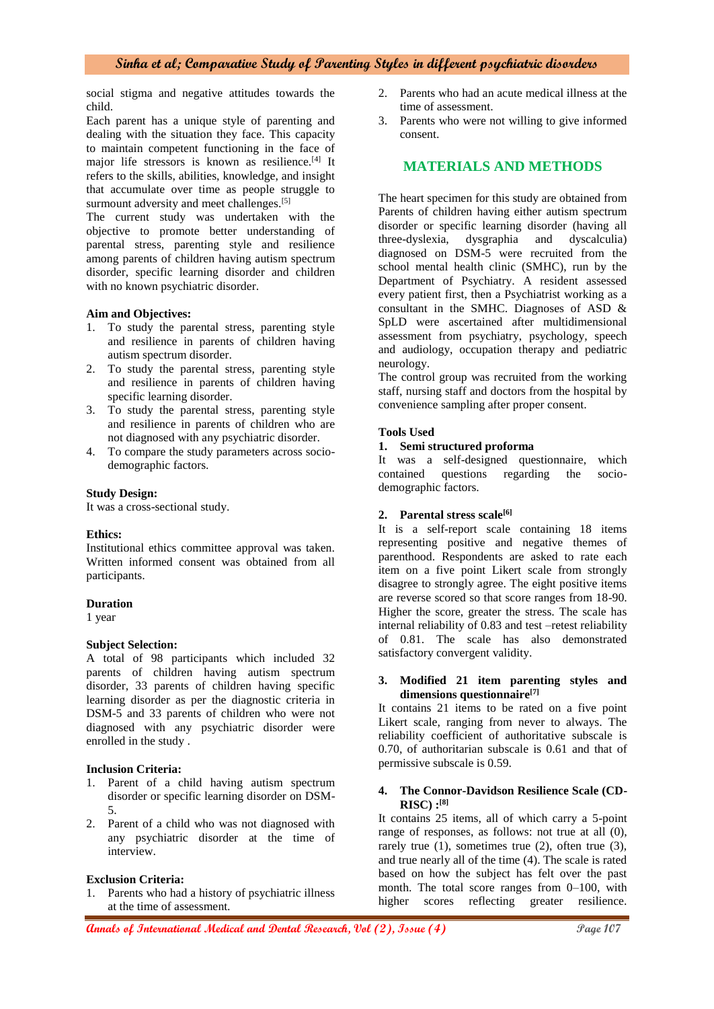social stigma and negative attitudes towards the child.

Each parent has a unique style of parenting and dealing with the situation they face. This capacity to maintain competent functioning in the face of major life stressors is known as resilience.<sup>[4]</sup> It refers to the skills, abilities, knowledge, and insight that accumulate over time as people struggle to surmount adversity and meet challenges.<sup>[5]</sup>

The current study was undertaken with the objective to promote better understanding of parental stress, parenting style and resilience among parents of children having autism spectrum disorder, specific learning disorder and children with no known psychiatric disorder.

#### **Aim and Objectives:**

- 1. To study the parental stress, parenting style and resilience in parents of children having autism spectrum disorder.
- 2. To study the parental stress, parenting style and resilience in parents of children having specific learning disorder.
- 3. To study the parental stress, parenting style and resilience in parents of children who are not diagnosed with any psychiatric disorder.
- 4. To compare the study parameters across sociodemographic factors.

#### **Study Design:**

It was a cross-sectional study.

#### **Ethics:**

Institutional ethics committee approval was taken. Written informed consent was obtained from all participants.

#### **Duration**

1 year

#### **Subject Selection:**

A total of 98 participants which included 32 parents of children having autism spectrum disorder, 33 parents of children having specific learning disorder as per the diagnostic criteria in DSM-5 and 33 parents of children who were not diagnosed with any psychiatric disorder were enrolled in the study .

### **Inclusion Criteria:**

- 1. Parent of a child having autism spectrum disorder or specific learning disorder on DSM-5.
- 2. Parent of a child who was not diagnosed with any psychiatric disorder at the time of interview.

## **Exclusion Criteria:**

1. Parents who had a history of psychiatric illness at the time of assessment.

- 2. Parents who had an acute medical illness at the time of assessment.
- 3. Parents who were not willing to give informed consent.

# **MATERIALS AND METHODS**

The heart specimen for this study are obtained from Parents of children having either autism spectrum disorder or specific learning disorder (having all three-dyslexia, dysgraphia and dyscalculia) diagnosed on DSM-5 were recruited from the school mental health clinic (SMHC), run by the Department of Psychiatry. A resident assessed every patient first, then a Psychiatrist working as a consultant in the SMHC. Diagnoses of ASD & SpLD were ascertained after multidimensional assessment from psychiatry, psychology, speech and audiology, occupation therapy and pediatric neurology.

The control group was recruited from the working staff, nursing staff and doctors from the hospital by convenience sampling after proper consent.

#### **Tools Used**

**1. Semi structured proforma**

It was a self-designed questionnaire, which contained questions regarding the sociodemographic factors.

#### **2. Parental stress scale[6]**

It is a self-report scale containing 18 items representing positive and negative themes of parenthood. Respondents are asked to rate each item on a five point Likert scale from strongly disagree to strongly agree. The eight positive items are reverse scored so that score ranges from 18-90. Higher the score, greater the stress. The scale has internal reliability of 0.83 and test –retest reliability of 0.81. The scale has also demonstrated satisfactory convergent validity.

#### **3. Modified 21 item parenting styles and dimensions questionnaire[7]**

It contains 21 items to be rated on a five point Likert scale, ranging from never to always. The reliability coefficient of authoritative subscale is 0.70, of authoritarian subscale is 0.61 and that of permissive subscale is 0.59.

#### **4. The Connor-Davidson Resilience Scale (CD-RISC) :[8]**

It contains 25 items, all of which carry a 5-point range of responses, as follows: not true at all (0), rarely true  $(1)$ , sometimes true  $(2)$ , often true  $(3)$ , and true nearly all of the time (4). The scale is rated based on how the subject has felt over the past month. The total score ranges from 0–100, with higher scores reflecting greater resilience.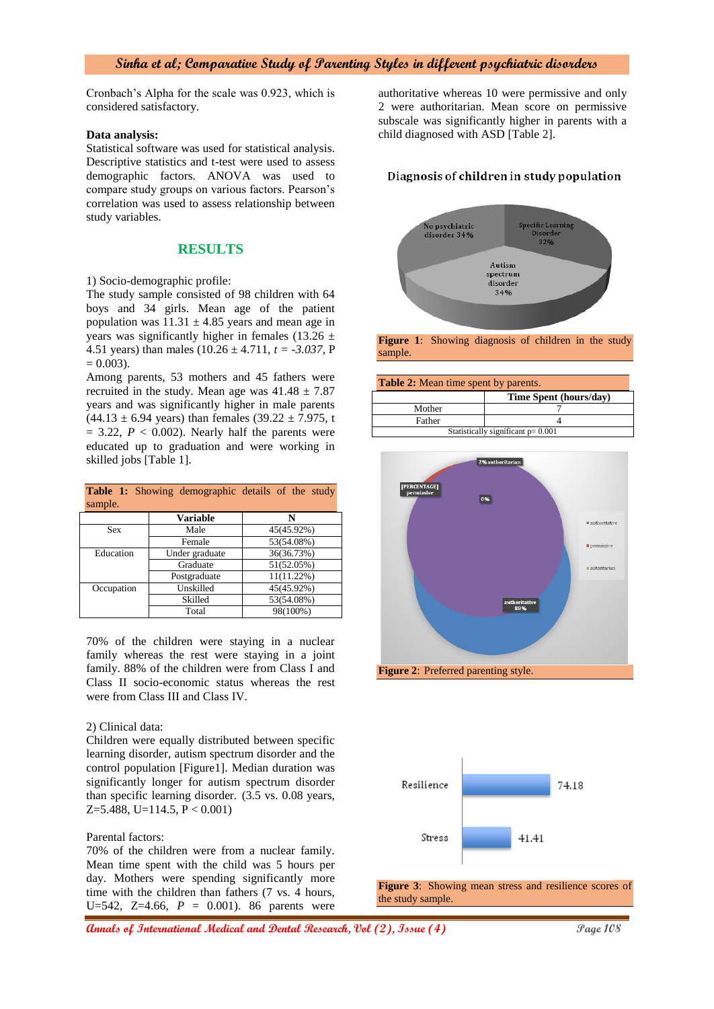Cronbach's Alpha for the scale was 0.923, which is considered satisfactory.

#### **Data analysis:**

Statistical software was used for statistical analysis. Descriptive statistics and t-test were used to assess demographic factors. ANOVA was used to compare study groups on various factors. Pearson's correlation was used to assess relationship between study variables.

## **RESULTS**

1) Socio-demographic profile:

The study sample consisted of 98 children with 64 boys and 34 girls. Mean age of the patient population was  $11.31 \pm 4.85$  years and mean age in years was significantly higher in females (13.26  $\pm$ 4.51 years) than males (10.26 ± 4.711, *t = -3.037,* P  $= 0.003$ .

Among parents, 53 mothers and 45 fathers were recruited in the study. Mean age was  $41.48 \pm 7.87$ years and was significantly higher in male parents  $(44.13 \pm 6.94 \text{ years})$  than females  $(39.22 \pm 7.975, t$  $= 3.22$ ,  $P < 0.002$ ). Nearly half the parents were educated up to graduation and were working in skilled jobs [Table 1].

|         |  | Table 1: Showing demographic details of the study |  |  |
|---------|--|---------------------------------------------------|--|--|
| sample. |  |                                                   |  |  |

|            | <b>Variable</b> | N             |
|------------|-----------------|---------------|
| <b>Sex</b> | Male            | 45(45.92%)    |
|            | Female          | 53(54.08%)    |
| Education  | Under graduate  | 36(36.73%)    |
|            | Graduate        | 51(52.05%)    |
|            | Postgraduate    | $11(11.22\%)$ |
| Occupation | Unskilled       | 45(45.92%)    |
|            | Skilled         | 53(54.08%)    |
|            | Total           | 98(100%)      |

70% of the children were staying in a nuclear family whereas the rest were staying in a joint family. 88% of the children were from Class I and Class II socio-economic status whereas the rest were from Class III and Class IV.

#### 2) Clinical data:

Children were equally distributed between specific learning disorder, autism spectrum disorder and the control population [Figure1]. Median duration was significantly longer for autism spectrum disorder than specific learning disorder. (3.5 vs. 0.08 years,  $Z=5.488$ , U=114.5, P < 0.001)

#### Parental factors:

70% of the children were from a nuclear family. Mean time spent with the child was 5 hours per day. Mothers were spending significantly more time with the children than fathers (7 vs. 4 hours, U=542, Z=4.66, *P* = 0.001). 86 parents were

authoritative whereas 10 were permissive and only 2 were authoritarian. Mean score on permissive subscale was significantly higher in parents with a child diagnosed with ASD [Table 2].

## Diagnosis of children in study population



**Figure 1**: Showing diagnosis of children in the study sample.

| <b>Table 2:</b> Mean time spent by parents. |                        |  |  |  |  |
|---------------------------------------------|------------------------|--|--|--|--|
|                                             | Time Spent (hours/day) |  |  |  |  |
| Mother                                      |                        |  |  |  |  |
| Father                                      |                        |  |  |  |  |
| Statistically significant $p = 0.001$       |                        |  |  |  |  |





**Figure 3**: Showing mean stress and resilience scores of the study sample.

**Annals of International Medical and Dental Research, Vol (2), Issue (4) Page 108**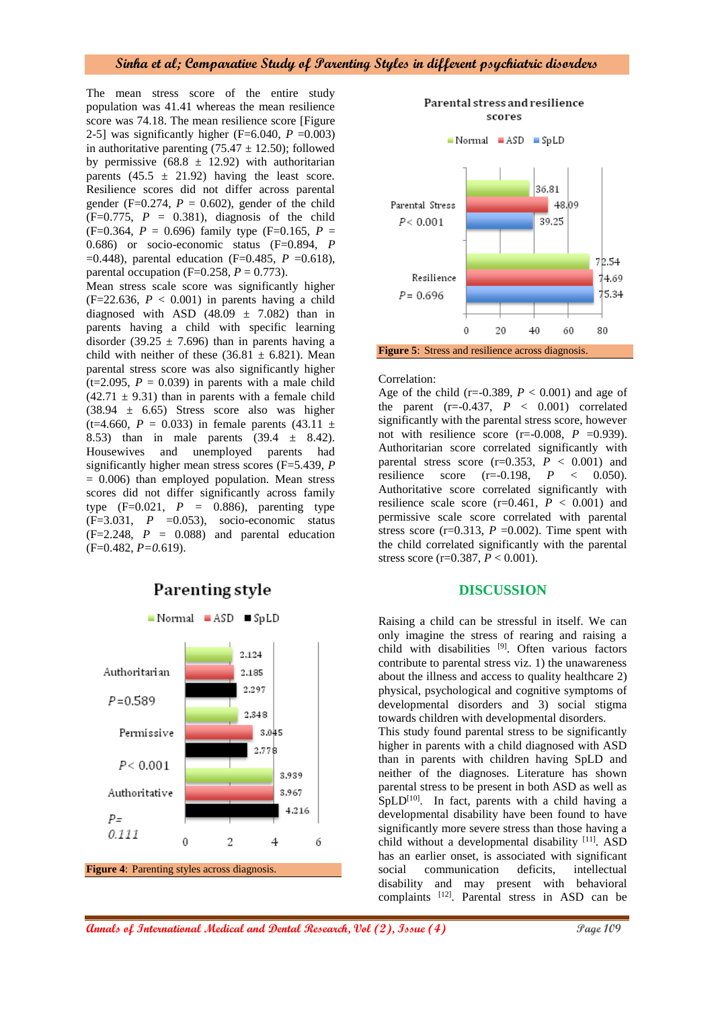The mean stress score of the entire study population was 41.41 whereas the mean resilience score was 74.18. The mean resilience score [Figure 2-5] was significantly higher ( $F=6.040$ ,  $P=0.003$ ) in authoritative parenting  $(75.47 \pm 12.50)$ ; followed by permissive  $(68.8 \pm 12.92)$  with authoritarian parents  $(45.5 \pm 21.92)$  having the least score. Resilience scores did not differ across parental gender (F=0.274,  $P = 0.602$ ), gender of the child  $(F=0.775, P = 0.381)$ , diagnosis of the child  $(F=0.364, P = 0.696)$  family type  $(F=0.165, P = 0.696)$ 0.686) or socio-economic status (F=0.894, *P*  =0.448), parental education (F=0.485, *P* =0.618), parental occupation ( $F=0.258$ ,  $P=0.773$ ).

Mean stress scale score was significantly higher  $(F=22.636, P < 0.001)$  in parents having a child diagnosed with ASD  $(48.09 \pm 7.082)$  than in parents having a child with specific learning disorder (39.25  $\pm$  7.696) than in parents having a child with neither of these  $(36.81 \pm 6.821)$ . Mean parental stress score was also significantly higher  $(t=2.095, P = 0.039)$  in parents with a male child  $(42.71 \pm 9.31)$  than in parents with a female child  $(38.94 \pm 6.65)$  Stress score also was higher (t=4.660,  $P = 0.033$ ) in female parents (43.11  $\pm$ 8.53) than in male parents (39.4 ± 8.42). Housewives and unemployed parents had significantly higher mean stress scores (F=5.439, *P*  $= 0.006$ ) than employed population. Mean stress scores did not differ significantly across family type  $(F=0.021, P = 0.886)$ , parenting type  $(F=3.031, P = 0.053)$ , socio-economic status  $(F=2.248, P = 0.088)$  and parental education (F=0.482, *P=0.*619).



# Parenting style



#### Correlation:

Age of the child ( $r = -0.389$ ,  $P < 0.001$ ) and age of the parent  $(r=-0.437, P < 0.001)$  correlated significantly with the parental stress score, however not with resilience score  $(r=0.008, P = 0.939)$ . Authoritarian score correlated significantly with parental stress score  $(r=0.353, P < 0.001)$  and resilience score (r=-0.198, *P* < 0.050). Authoritative score correlated significantly with resilience scale score  $(r=0.461, P < 0.001)$  and permissive scale score correlated with parental stress score ( $r=0.313$ ,  $P = 0.002$ ). Time spent with the child correlated significantly with the parental stress score (r=0.387, *P* < 0.001).

## **DISCUSSION**

Raising a child can be stressful in itself. We can only imagine the stress of rearing and raising a child with disabilities [9]. Often various factors contribute to parental stress viz. 1) the unawareness about the illness and access to quality healthcare 2) physical, psychological and cognitive symptoms of developmental disorders and 3) social stigma towards children with developmental disorders.

This study found parental stress to be significantly higher in parents with a child diagnosed with ASD than in parents with children having SpLD and neither of the diagnoses. Literature has shown parental stress to be present in both ASD as well as  $SpLD<sup>[10]</sup>$ . In fact, parents with a child having a developmental disability have been found to have significantly more severe stress than those having a child without a developmental disability [11]. ASD has an earlier onset, is associated with significant social communication deficits, intellectual disability and may present with behavioral complaints [12]. Parental stress in ASD can be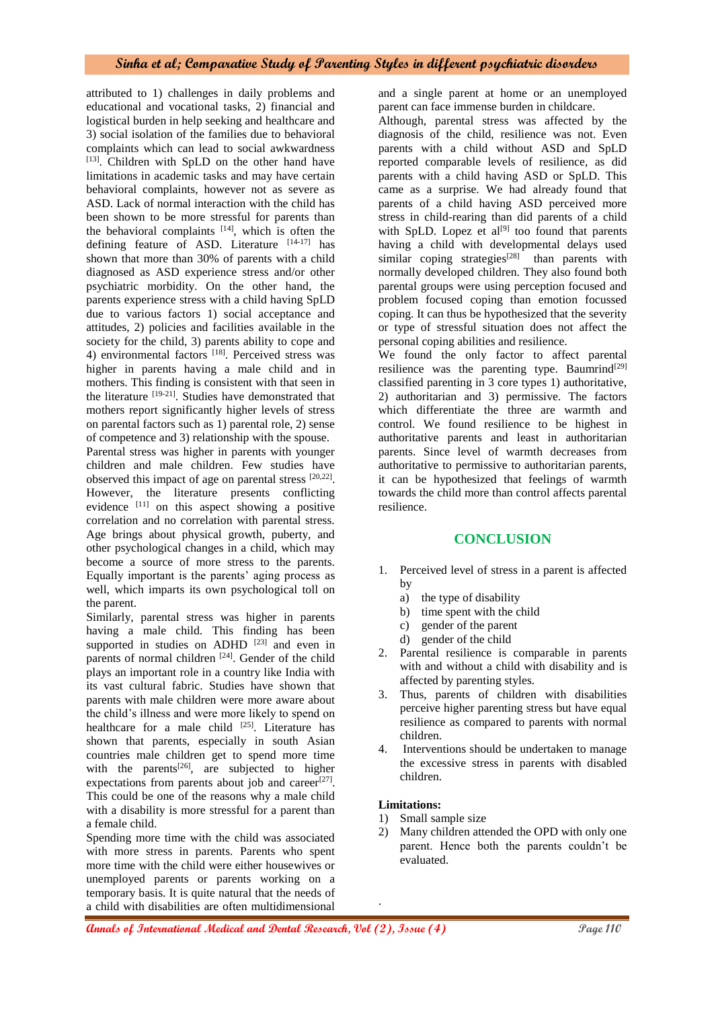attributed to 1) challenges in daily problems and educational and vocational tasks, 2) financial and logistical burden in help seeking and healthcare and 3) social isolation of the families due to behavioral complaints which can lead to social awkwardness [13]. Children with SpLD on the other hand have limitations in academic tasks and may have certain behavioral complaints, however not as severe as ASD. Lack of normal interaction with the child has been shown to be more stressful for parents than the behavioral complaints  $[14]$ , which is often the defining feature of ASD. Literature [14-17] has shown that more than 30% of parents with a child diagnosed as ASD experience stress and/or other psychiatric morbidity. On the other hand, the parents experience stress with a child having SpLD due to various factors 1) social acceptance and attitudes, 2) policies and facilities available in the society for the child, 3) parents ability to cope and 4) environmental factors [18]. Perceived stress was higher in parents having a male child and in mothers. This finding is consistent with that seen in the literature [19-21]. Studies have demonstrated that mothers report significantly higher levels of stress on parental factors such as 1) parental role, 2) sense of competence and 3) relationship with the spouse. Parental stress was higher in parents with younger children and male children. Few studies have observed this impact of age on parental stress [20,22]. However, the literature presents conflicting evidence [11] on this aspect showing a positive correlation and no correlation with parental stress. Age brings about physical growth, puberty, and other psychological changes in a child, which may become a source of more stress to the parents. Equally important is the parents' aging process as well, which imparts its own psychological toll on

Similarly, parental stress was higher in parents having a male child. This finding has been supported in studies on ADHD  $[23]$  and even in parents of normal children <sup>[24]</sup>. Gender of the child plays an important role in a country like India with its vast cultural fabric. Studies have shown that parents with male children were more aware about the child's illness and were more likely to spend on healthcare for a male child [25]. Literature has shown that parents, especially in south Asian countries male children get to spend more time with the parents<sup>[26]</sup>, are subjected to higher expectations from parents about job and career $^{[27]}$ . This could be one of the reasons why a male child with a disability is more stressful for a parent than a female child.

the parent.

Spending more time with the child was associated with more stress in parents. Parents who spent more time with the child were either housewives or unemployed parents or parents working on a temporary basis. It is quite natural that the needs of a child with disabilities are often multidimensional

and a single parent at home or an unemployed parent can face immense burden in childcare.

Although, parental stress was affected by the diagnosis of the child, resilience was not. Even parents with a child without ASD and SpLD reported comparable levels of resilience, as did parents with a child having ASD or SpLD. This came as a surprise. We had already found that parents of a child having ASD perceived more stress in child-rearing than did parents of a child with SpLD. Lopez et  $al^{[9]}$  too found that parents having a child with developmental delays used similar coping strategies<sup>[28]</sup> than parents with normally developed children. They also found both parental groups were using perception focused and problem focused coping than emotion focussed coping. It can thus be hypothesized that the severity or type of stressful situation does not affect the personal coping abilities and resilience.

We found the only factor to affect parental resilience was the parenting type. Baumrind<sup>[29]</sup> classified parenting in 3 core types 1) authoritative, 2) authoritarian and 3) permissive. The factors which differentiate the three are warmth and control. We found resilience to be highest in authoritative parents and least in authoritarian parents. Since level of warmth decreases from authoritative to permissive to authoritarian parents, it can be hypothesized that feelings of warmth towards the child more than control affects parental resilience.

# **CONCLUSION**

- 1. Perceived level of stress in a parent is affected by
	- a) the type of disability
	- b) time spent with the child
	- c) gender of the parent
	- d) gender of the child
- 2. Parental resilience is comparable in parents with and without a child with disability and is affected by parenting styles.
- 3. Thus, parents of children with disabilities perceive higher parenting stress but have equal resilience as compared to parents with normal children.
- 4. Interventions should be undertaken to manage the excessive stress in parents with disabled children.

## **Limitations:**

.

- 1) Small sample size
- 2) Many children attended the OPD with only one parent. Hence both the parents couldn't be evaluated.